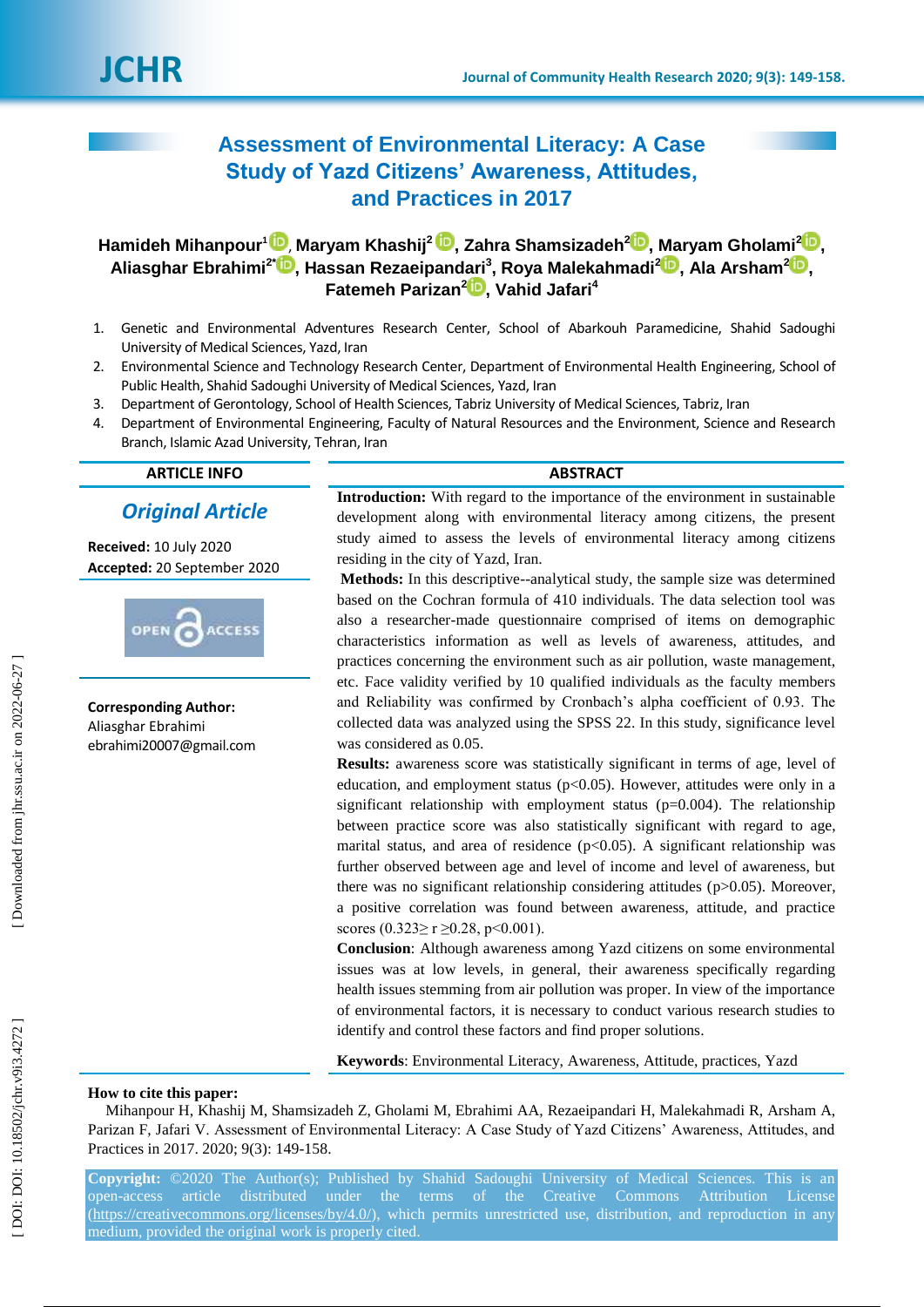# **Assessment of Environmental Literacy: A Case Study of Yazd Citizens' Awareness, Attitudes, and Practices in 2017**

**Hamideh Mihanpour 1** [,](https://orcid.org/0000-0001-8542-5291) **Maryam Khashij 2 [,](https://orcid.org/0000-0003-0394-8369) Zahra Shamsizadeh [2](https://orcid.org/0000-0002-3055-2995) , Maryam Gholami 2 [,](https://orcid.org/0000-0001-7310-8600)**   $\boldsymbol{\mathsf{A}}$ liasghar Ebrahimi $^{2^{\star}}$   $\boldsymbol{\mathsf{D}}$ [,](https://orcid.org/0000-0002-8608-7690) Hassan Rezaeipandari $^{3}$ , Roya Malekahmadi $^{2}\boldsymbol{\mathsf{D}}$ , Ala Arsham $^{2}\boldsymbol{\mathsf{D}}$ , **Fatemeh Parizan [2](https://orcid.org/0000-0001-6157-5973) , Vahid Jafari 4**

- 1 . Genetic and Environmental Adventures Research Center, School of Abarkouh Paramedicine, Shahid Sadoughi University of Medical Sciences, Yazd, Iran
- 2 . Environmental Science and Technology Research Center, Department of Environmental Health Engineering, School of Public Health, Shahid Sadoughi University of Medical Sciences, Yazd, Iran
- 3. . Department of Gerontology, School of Health Sciences, Tabriz University of Medical Sciences, Tabriz, Iran
- 4 . Department of Environmental Engineering, Faculty of Natural Resources and the Environment, Science and Research Branch, Islamic Azad University, Tehran, Iran

# **ARTICLE INFO ABSTRACT**

# *Original Article*

**Received:**  10 July 2020 **Accepted:** 2 0 September 2020



**Corresponding Author:** Aliasghar Ebrahimi ebrahimi20007@gmail.com

**Introduction:** With regard to the importance of the environment in sustainable development along with environmental literacy among citizens, the present study aimed to assess the levels of environmental literacy among citizens residing in the city of Yazd, Iran.

**Methods:** In this descriptive--analytical study, the sample size was determined based on the Cochran formula of 410 individuals. The data selection tool was also a researcher -made questionnaire comprised of items on demographic characteristics information as well as levels of awareness, attitudes, and practices concerning the environment such as air pollution, waste management, etc. Face validity verified by 10 qualified individuals as the faculty members and Reliability was confirmed by Cronbach's alpha coefficient of 0.93. The collected data was analyzed using the SPSS 22. In this study, significance level was considered as 0.05.

**Results:** awareness score was statistically significant in terms of age, level of education, and employment status (p<0.05). However, attitudes were only in a significant relationship with employment status  $(p=0.004)$ . The relationship between practice score was also statistically significant with regard to age, marital status, and area of residence  $(p<0.05)$ . A significant relationship was further observed between age and level of income and level of awareness, but there was no significant relationship considering attitudes (p>0.05). Moreover, a positive correlation was found between awareness, attitude, and practice scores (0.323≥ r ≥0.28, p<0.001).

**Conclusion**: Although awareness among Yazd citizens on some environmental issues was at low levels, in general, their awareness specifically regarding health issues stemming from air pollution was proper. In view of the importance of environmental factors, it is necessary to conduct various research studies to identify and control these factors and find proper solutions .

**Keywords**: Environmental Literacy, Awareness, Attitude, practices, Yazd

#### **How to cite this paper:**

Mihanpour H, Khashij M, Shamsizadeh Z, Gholami M, Ebrahimi AA, Rezaeipandari H, Malekahmadi R, Arsham A, Parizan F, Jafari V. Assessment of Environmental Literacy: A Case Study of Yazd Citizens' Awareness, Attitudes, and Practices in 2017. 2020; 9(3): 149-158.

**Copyright:** ©2020 The Author(s); Published by Shahid Sadoughi University of Medical Sciences. This is an open-access article distributed under the terms of the Creative Commons Attribution License [\(https://creativecommons.org/licenses/by/4.0/\)](https://creativecommons.org/licenses/by/4.0/), which permits unrestricted use, distribution, and reproduction in any medium, provided the original work is properly cited.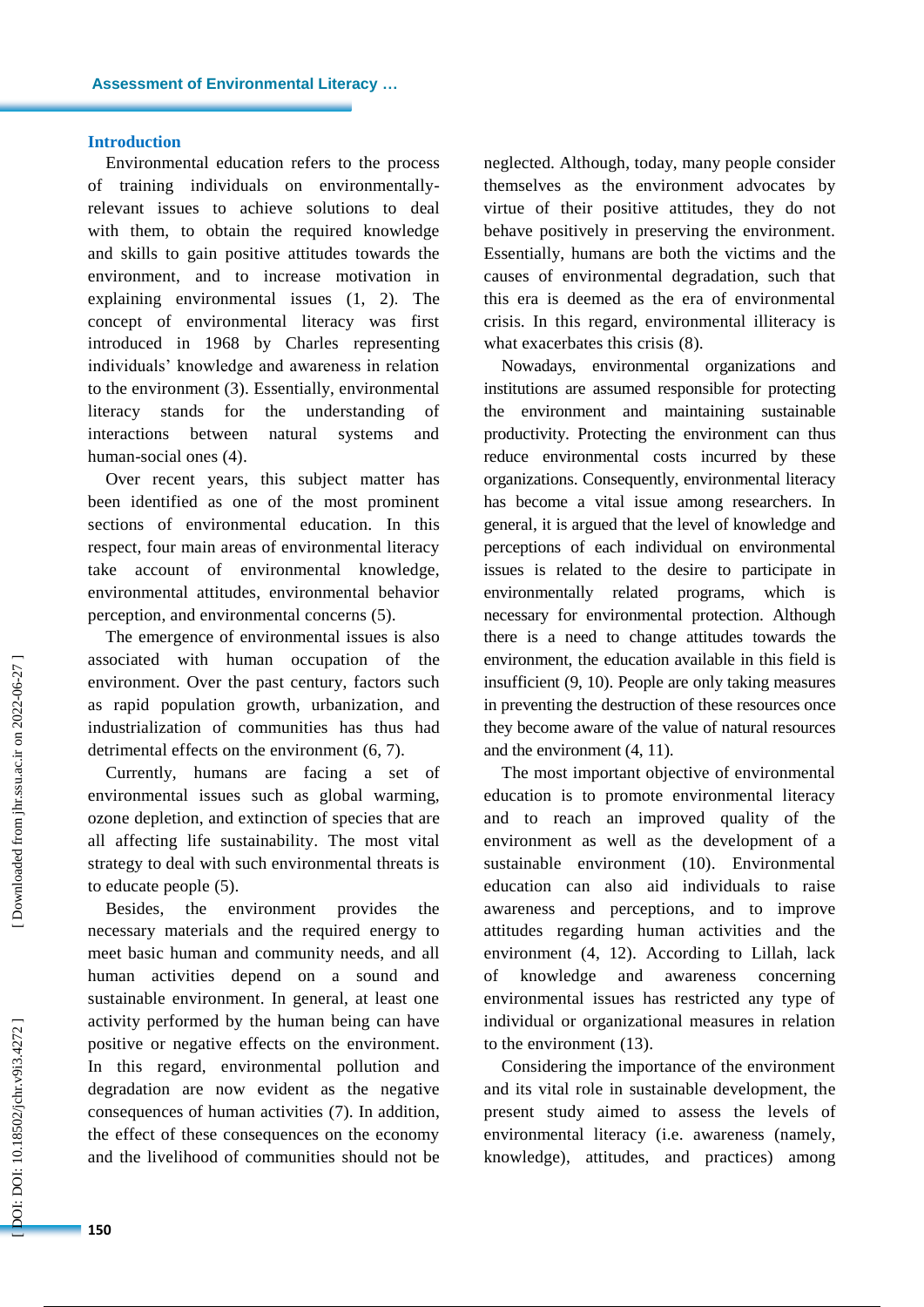#### **Introduction**

Environmental education refers to the process of training individuals on environmentally relevant issues to achieve solutions to deal with them, to obtain the required knowledge and skills to gain positive attitude s towards the environment , and to increase motivation in explaining environmental issues (1, 2) . The concept of environmental literacy was first introduced in 1968 by Charles representing individuals' knowledge and awareness in relation to the environment (3). Essentially, environmental literacy stands for the understanding of interactions between natural systems and human -social ones (4) .

Over recent years, this subject matter has been identified as one of the most prominent sections of environmental education. In this respect, four main areas of environmental literacy take account of environmental knowledge, environmental attitudes, environmental behavior perception , and environmental concerns (5).

The emergence of environmental issues is also associated with human occupation of the environment. Over the past century, factors such as rapid population growth, urbanization , and industrialization of communities has thus had detrimental effects on the environment  $(6, 7)$ .

Currently, humans are facing a set of environmental issues such as global warming, ozone depletion , and extinction of species that are all affecting life sustainability. The most vital strategy to deal with such environmental threats is to educate people (5).

Besides, the environment provides the necessary materials and the required energy to meet basic human and community needs, and all human activities depend on a sound and sustainable environment. In general, at least one activity performed by the human being can have positive or negative effects on the environment. In this regard, environmental pollution and degradation are now evident as the negative consequences of human activities (7). In addition, the effect of these consequences on the economy and the livelihood of communities should not be

neglected. Although , today, many people consider themselves as the environment advocates by virtue of their positive attitudes, they do not behave positively in preserving the environment. Essentially, humans are both the victims and the cause s of environmental degradation, such that this era is deemed as the era of environmental crisis. In this regard, environmental illiteracy is what exacerbates this crisis (8) .

Nowadays, environmental organizations and institutions are assumed responsible for protecting the environment and maintaining sustainable productivity. Protecting the environment can thus reduce environmental costs incurred by these organizations. Consequently, environmental literacy has become a vital issue among researchers. In general, it is argued that the level of knowledge and perception s of each individual on environmental issues is related to the desire to participate in environmentally related programs, which necessary for environmental protection. Although there is a need to change attitude s towards the environment, the education available in this field is insufficient (9, 10). People are only taking measures in preventing the destruction of these resources once they become aware of the value of natural resources and the environment (4, 11) .

The most important objective of environmental education is to promote environmental literacy and to reach an improved quality of the environment as well as the development of a sustainable environment (10). Environmental education can also aid individuals to raise awareness and perceptions, and to improve attitude s regarding human activities and the environment (4, 12). According to Lillah, lack of knowledge and awareness concerning environmental issues has restricted any type of individual or organizational measures in relation to the environment (13). Considering the importance of the environment

and its vital role in sustainable development, the present study aimed to assess the level s of environmental literacy (i.e. awareness (namely, knowledge), attitudes, and practice s) among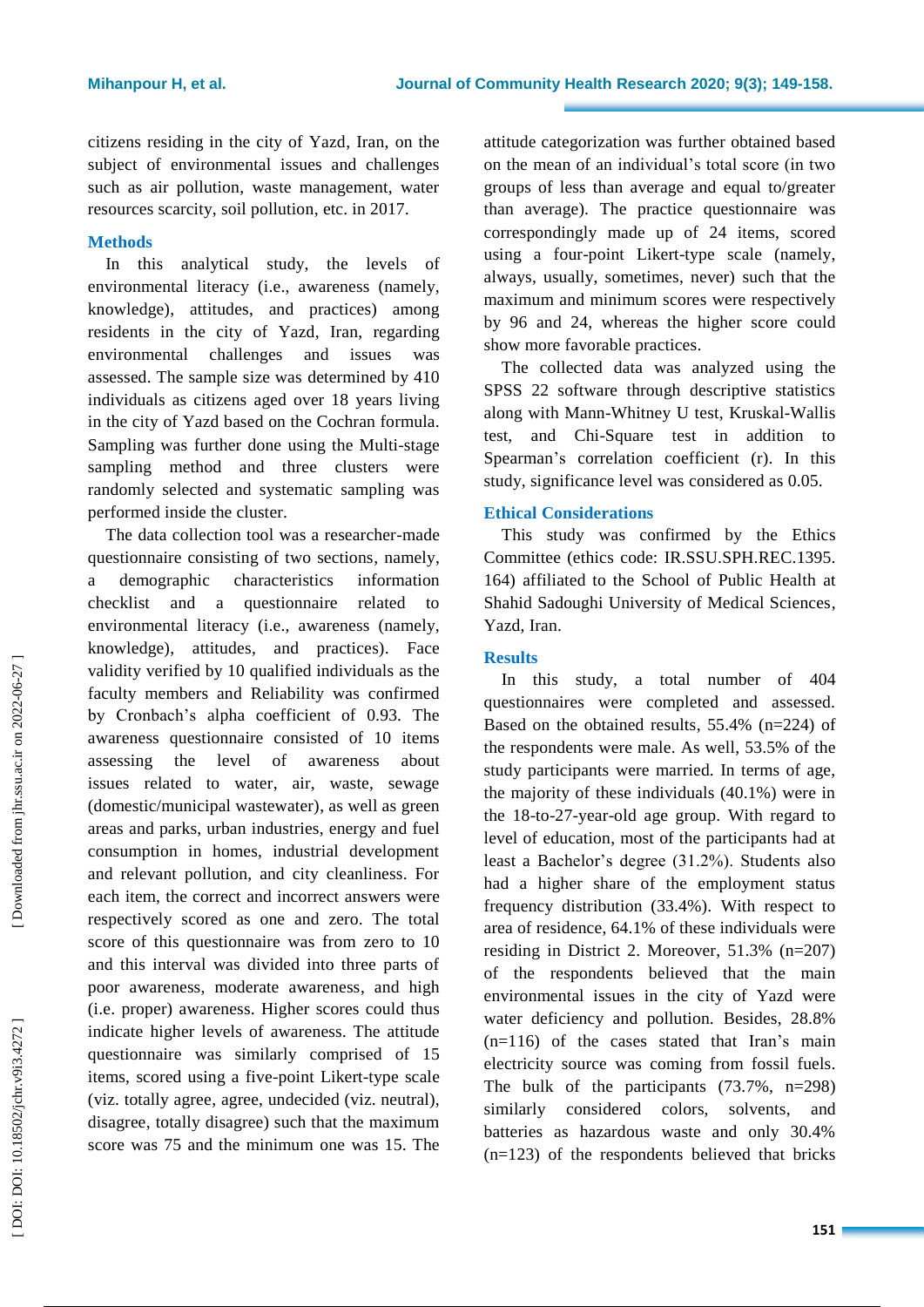citizens residing in the city of Yazd, Iran, on the subject of environmental issues and challenges such as air pollution, waste management, water resources scarcity, soil pollution , etc. in 2017.

# **Methods**

In this analytical study, the levels of environmental literacy (i.e., awareness (namely, knowledge), attitudes, and practice s) among residents in the city of Yazd, Iran, regarding environmental challenges and issues was assessed. The sample size was determined by 410 individuals as citizens aged over 18 years living in the city of Yazd based on the Cochran formula. Sampling was further done using the Multi -stage sampling method and three clusters were randomly selected and systematic sampling was performed inside the cluster.

The data collection tool was a researcher -made questionnaire consisting of two sections, namely, a demographic characteristics information checklist and a questionnaire related to environmental literacy (i.e., awareness (namely, knowledge), attitudes, and practice s). Face validity verified by 10 qualified individuals as the faculty members and Reliability was confirmed by Cronbach's alpha coefficient of 0.93. The awareness questionnaire consisted of 10 items assessing the level of awareness about issues related to water, air, waste, sewage (domestic/municipal wastewater), as well as green areas and parks, urban industries, energy and fuel consumption in homes, industrial development and relevant pollution, and city cleanliness. For each item, the correct and incorrect answer s were respectively scored as one and zero. The total score of this questionnaire was from zero to 10 and this interval was divided into three parts of poor awareness, moderate awareness , and high (i.e. proper) awareness. Higher scores could thus indicate higher levels of awareness. The attitude questionnaire was similarly comprised of 15 items, scored using a five -point Likert -type scale (viz. totally agree, agree, undecided (viz. neutral), disagree, totally disagree) such that the maximum score was 75 and the minimum one was 15. The

attitude categorization was further obtained based on the mean of an individual's total score (in two groups of less than average and equal to/greater than average). The practice questionnaire was correspondingly made up of 24 items, scored using a four -point Likert -type scale (namely, always, usually, sometimes, never) such that the maximum and minimum score s were respectively by 96 and 24 , whereas the higher score could show more favorable practices.

The collected data was analyzed using the SPSS 22 software through descriptive statistics along with Mann -Whitney U test, Kruskal -Wallis test, and Chi -Square test in addition to Spearman's correlation coefficient (r). In this study, significance level was considered as 0.05.

# **Ethical Considerations**

This study was confirmed by the Ethic s Committee (ethic s code: IR.SSU.SPH.REC.1395. 164) affiliated to the School of Public Health at Shahid Sadoughi University of Medical Sciences, Yazd, Iran .

# **Results**

In this study, a total number of 404 questionnaires were completed and assessed. Based on the obtained results , 55.4% (n=224) of the respondents were male . As well, 53.5% of the study participants were married. In terms of age, the majority of these individuals (40.1%) were in the 18 -to -27 -year -old age group. With regard to level of education, most of the participants had at least a Bachelor's degree (31.2%). Students also had a higher share of the employment status frequency distribution (33.4%). With respect to area of residence, 64.1% of these individuals were residing in District 2. Moreover, 51.3% (n=207) of the respondents believed that the main environmental issue s in the city of Yazd were water deficiency and pollution. Besides, 28.8% (n=116) of the cases stated that Iran's main electricity source was coming from fossil fuels. The bulk of the participants (73. 7 %, n=298) similarly considered colors, solvents, , and batteries as hazardous waste and only 30.4% (n=123) of the respondents believed that brick s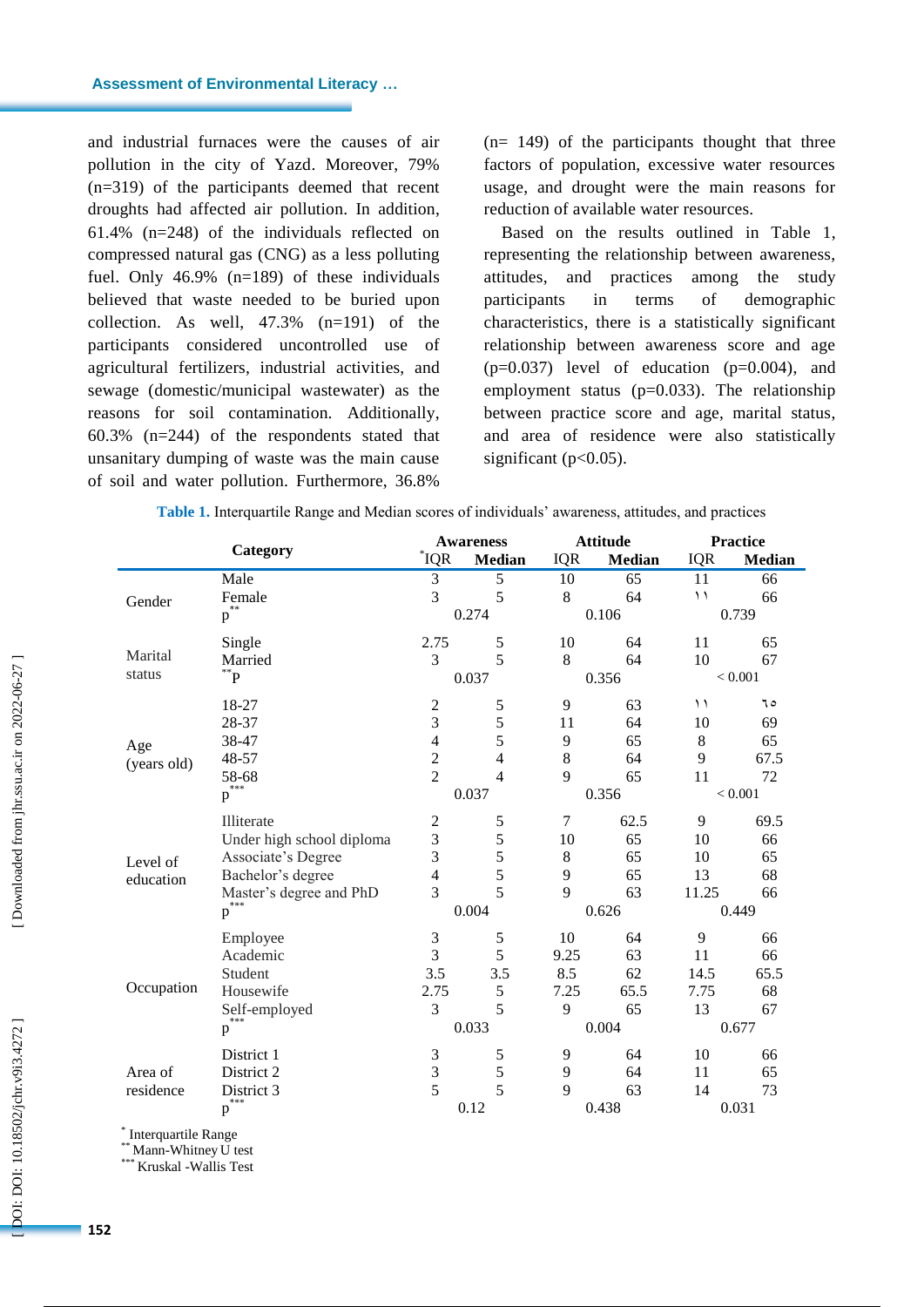and industrial furnaces were the cause s of air pollution in the city of Yazd. Moreover, 79% (n=319) of the participants deemed that recent droughts had affected air pollution. In addition, 61.4% (n=248) of the individuals reflected on compressed natural gas (CNG ) as a less polluting fuel. Only 46.9% (n=189) of these individuals believed that waste needed to be buried upon collection. As well, 47.3% (n=191) of the participants considered uncontrolled use of agricultural fertilizers, industrial activities, and sewage (domestic/municipal wastewater) as the reasons for soil contamination. Additionally, 60.3% (n=244) of the respondents stated that unsanitary dumping of waste was the main cause of soil and water pollution. Furthermore, 36.8%

(n= 149) of the participants thought that three factors of population, excessive water resources usage , and drought were the main reasons for reduction of available water resources.

Based on the results outlined in Table 1 , representing the relationship between awareness, attitudes, and practices among the study participants in terms of demographic characteristics, there is a statistically significant relationship between awareness score and age  $(p=0.037)$  level of education  $(p=0.004)$ , and employment status (p=0.033). The relationship between practice score and age, marital status , and area of residence were also statistically significant (p<0.05).

| Table 1. Interquartile Range and Median scores of individuals' awareness, attitudes, and practices |  |  |  |
|----------------------------------------------------------------------------------------------------|--|--|--|
|----------------------------------------------------------------------------------------------------|--|--|--|

|             | Category                      | $^*IQR$        | <b>Awareness</b><br><b>Median</b> | <b>IQR</b>     | <b>Attitude</b><br>Median | <b>IQR</b> | <b>Practice</b><br><b>Median</b> |
|-------------|-------------------------------|----------------|-----------------------------------|----------------|---------------------------|------------|----------------------------------|
|             | Male                          | 3              | 5                                 | 10             | 65                        | 11         | 66                               |
|             | Female                        | $\overline{3}$ | 5                                 | 8              | 64                        | ۱۱         | 66                               |
| Gender      | $\widetilde{\textbf{p}}^{**}$ |                | 0.274                             |                | 0.106                     |            | 0.739                            |
|             | Single                        | 2.75           | 5                                 | 10             | 64                        | 11         | 65                               |
| Marital     | Married                       | 3              | 5                                 | 8              | 64                        | 10         | 67                               |
| status      | $P^*P$                        |                | 0.037                             |                | 0.356                     | < 0.001    |                                  |
|             | 18-27                         | $\overline{c}$ | 5                                 | 9              | 63                        | ۱۱         | ٦٥                               |
|             | 28-37                         | $\mathfrak{Z}$ | 5                                 | 11             | 64                        | 10         | 69                               |
| Age         | 38-47                         | $\overline{4}$ | 5                                 | 9              | 65                        | $\,8\,$    | 65                               |
| (years old) | 48-57                         | $\overline{2}$ | 4                                 | 8              | 64                        | 9          | 67.5                             |
|             | 58-68                         | $\overline{2}$ | 4                                 | 9              | 65                        | 11         | 72                               |
|             | ***<br>p                      | 0.037          |                                   | 0.356          |                           | < 0.001    |                                  |
|             | Illiterate                    | $\overline{2}$ | 5                                 | $\overline{7}$ | 62.5                      | 9          | 69.5                             |
|             | Under high school diploma     | 3              | 5                                 | 10             | 65                        | 10         | 66                               |
| Level of    | Associate's Degree            | 3              | 5                                 | 8              | 65                        | 10         | 65                               |
| education   | Bachelor's degree             | $\overline{4}$ | 5                                 | 9              | 65                        | 13         | 68                               |
|             | Master's degree and PhD       | 3              | 5                                 | 9              | 63                        | 11.25      | 66                               |
|             | ***<br>$\mathbf{p}$           | 0.004          |                                   | 0.626          |                           | 0.449      |                                  |
|             | Employee                      | $\mathfrak 3$  | 5                                 | 10             | 64                        | 9          | 66                               |
|             | Academic                      | 3              | 5                                 | 9.25           | 63                        | 11         | 66                               |
|             | Student                       | 3.5            | 3.5                               | 8.5            | 62                        | 14.5       | 65.5                             |
| Occupation  | Housewife                     | 2.75           | 5                                 | 7.25           | 65.5                      | 7.75       | 68                               |
|             | Self-employed                 | 3              | 5                                 | 9              | 65                        | 13         | 67                               |
|             | $p^{\sum_{k=1}^{n}}$          |                | 0.033                             |                | 0.004                     |            | 0.677                            |
|             | District 1                    | 3              | 5                                 | 9              | 64                        | 10         | 66                               |
| Area of     | District 2                    | 3              | 5                                 | 9              | 64                        | 11         | 65                               |
| residence   | District 3                    | 5              | 5                                 | 9              | 63                        | 14         | 73                               |
|             | $***$<br>$\, {\bf p}$         |                | 0.12                              |                | 0.438                     |            | 0.031                            |

\* Interquartile Range

\*\* Mann-Whitney U test<br>\*\*\* Kruskel, Wellis Test

\* Kruskal -Wallis Test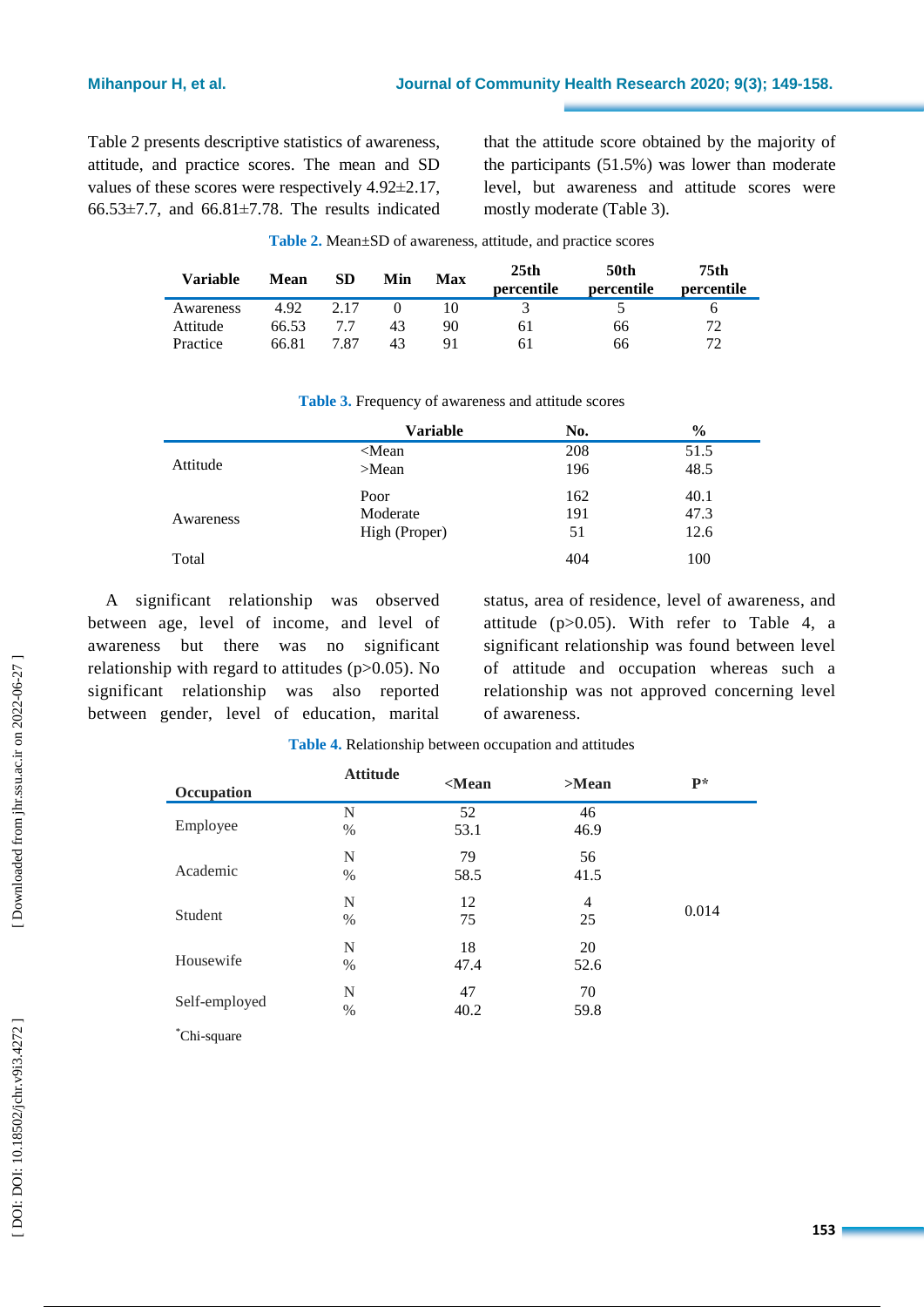Table 2 presents descriptive statistics of awareness, attitude , and practice scores. The mean and SD values of these scores were respectively 4.92 ±2.17,  $66.53\pm7.7$ , and  $66.81\pm7.78$ . The results indicated

that the attitude score obtained by the majority of the participants (51.5%) was lower than moderate level, but awareness and attitude score s were mostly moderate (Table 3).

| Variable  | Mean  | SD   | Min | Max | 25 <sub>th</sub><br>percentile | 50th<br>percentile | 75th<br>percentile |
|-----------|-------|------|-----|-----|--------------------------------|--------------------|--------------------|
| Awareness | 4.92  | 2.17 |     |     |                                |                    |                    |
| Attitude  | 66.53 |      | 43  | 90  | 61                             | 66                 | 72                 |
| Practice  | 66.81 | 7.87 | 43  | Q1  | 61                             | 66                 | 72.                |

| Table 3. Frequency of awareness and attitude scores |  |  |  |
|-----------------------------------------------------|--|--|--|

|           | <b>Variable</b> | No. | $\frac{6}{9}$ |
|-----------|-----------------|-----|---------------|
|           | $\leq$ Mean     | 208 | 51.5          |
| Attitude  | $>$ Mean        | 196 | 48.5          |
|           | Poor            | 162 | 40.1          |
| Awareness | Moderate        | 191 | 47.3          |
|           | High (Proper)   | 51  | 12.6          |
| Total     |                 | 404 | 100           |

A significant relationship was observed between age, level of income , and level of awareness but there was no significant relationship with regard to attitude s (p>0.05). No significant relationship was also reported between gender, level of education, marital

status, area of residence, level of awareness , and attitude (p>0.05). With refer to Table 4, a significant relationship was found between level of attitude and occupation whereas such a relationship was not approved concerning level of awareness.

| Occupation    | <b>Attitude</b> | $<$ Mean | $>$ Mean | $P*$  |
|---------------|-----------------|----------|----------|-------|
|               | $\mathbf N$     | 52       | 46       |       |
| Employee      | $\%$            | 53.1     | 46.9     |       |
|               | N               | 79       | 56       |       |
| Academic      | $\%$            | 58.5     | 41.5     |       |
| Student       | N               | 12       | 4        |       |
|               | $\%$            | 75       | 25       | 0.014 |
|               | N               | 18       | 20       |       |
| Housewife     | $\%$            | 47.4     | 52.6     |       |
| Self-employed | N               | 47       | 70       |       |
|               | $\%$            | 40.2     | 59.8     |       |
| Chi-square    |                 |          |          |       |

| Table 4. Relationship between occupation and attitudes |  |  |
|--------------------------------------------------------|--|--|
|                                                        |  |  |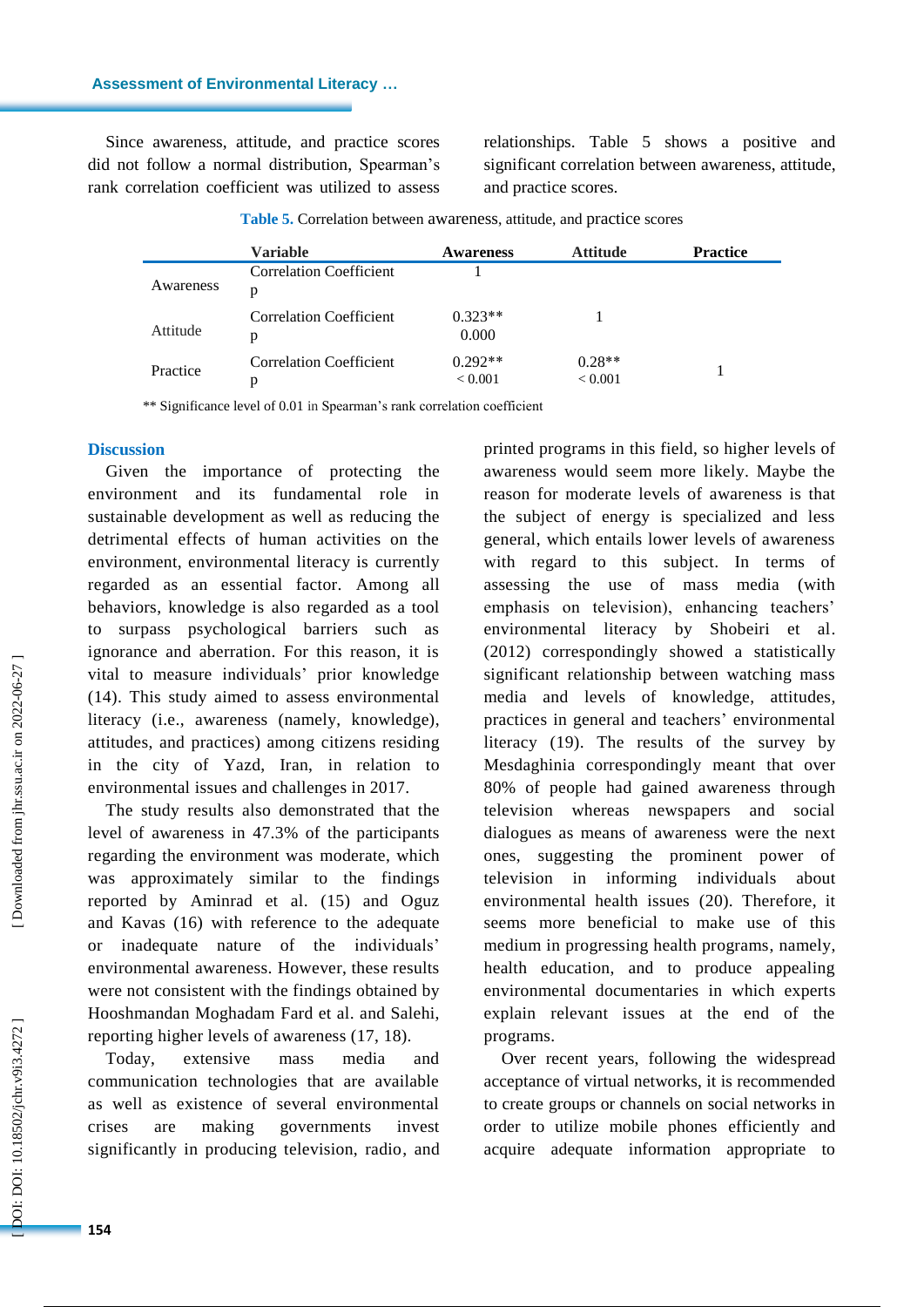Since awareness, attitude , and practice scores did not follow a normal distribution, Spearman's rank correlation coefficient was utilized to assess

relationships. Table 5 shows a positive and significant correlation between awareness, attitude , and practice scores.

|           | <b>Variable</b>                     | <b>Awareness</b>            | <b>Attitude</b>            | <b>Practice</b> |
|-----------|-------------------------------------|-----------------------------|----------------------------|-----------------|
| Awareness | <b>Correlation Coefficient</b><br>p |                             |                            |                 |
| Attitude  | Correlation Coefficient<br>р        | $0.323**$<br>0.000          |                            |                 |
| Practice  | Correlation Coefficient<br>р        | $0.292**$<br>${}_{< 0.001}$ | $0.28**$<br>${}_{< 0.001}$ |                 |

Table 5. Correlation between awareness, attitude, and practice scores

\*\* Significance level of 0.01 in Spearman's rank correlation coefficient

#### **Discussion**

Given the importance of protecting the environment and its fundamental role in sustainable development as well as reducing the detrimental effects of human activities on the environment, environmental literacy is currently regarded as an essential factor. Among all behaviors, knowledge is also regarded as a tool to surpass psychological barriers such as ignorance and aberration. For this reason, it is vital to measure individuals' prior knowledge (14). This study aimed to assess environmental literacy (i.e., awareness (namely, knowledge), attitudes, and practice s) among citizen s residing in the city of Yazd, Iran, in relation to environmental issues and challenges in 2017.

The study results also demonstrated that the level of awareness in 47.3% of the participants regarding the environment was moderate , which was approximately similar to the findings reported by Aminrad et al. (15) and Oguz and Kavas (16) with reference to the adequate or inadequate nature of the individuals' environmental awareness. However, these results were not consistent with the findings obtained by Hooshmandan Moghadam Fard et al. and Salehi , reporting higher levels of awareness (17, 18).

Today, extensive mass media and communication technologies that are available as well as existence of several environmental crises are making governments invest significantly in producing television, radio , and printed programs in this field, so higher levels of awareness would seem more likely. Maybe the reason for moderate levels of awareness is that the subject of energy is specialized and less general , which entails lower levels of awareness with regard to this subject. In terms of assessing the use of mass media (with emphasis on television), enhancing teachers' environmental literacy by Shobeiri et al. (2012) correspondingly showed a statistically significant relationship between watching mass media and levels of knowledge, attitude s, practice s in general and teachers' environmental literacy (19). The results of the survey by Mesdaghinia correspondingly meant that over 80% of people ha d gained awareness through television whereas newspapers and social dialogues as means of awareness were the next ones, suggesting the prominent power of television in informing individual s about environmental health issues (20). Therefore, it seems more beneficial to make use of this medium in progressing health programs , namely , health education, and to produce appealing environmental documentaries in which expert s explain relevant issues at the end of the programs.

Over recent years, following the widespread acceptance of virtual networks, it is recommended to create groups or channels on social networks in order to utilize mobile phones efficiently and acquire adequate information appropriate to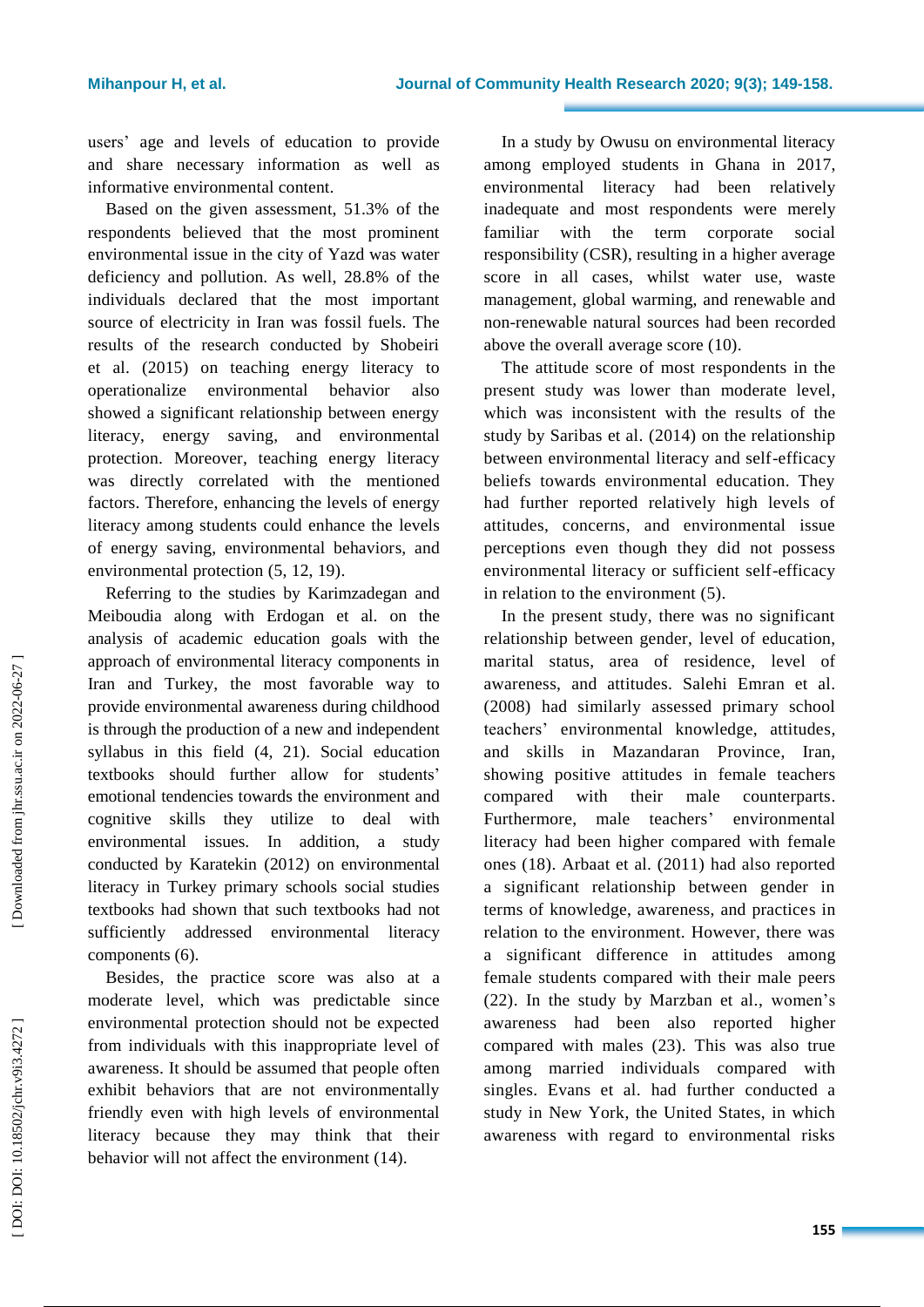users' age and levels of education to provide and share necessary information as well as informative environmental content.

Based on the given assessment, 51.3% of the respondents believed that the most prominent environmental issue in the city of Yazd was water deficiency and pollution. As well, 28.8% of the individuals declared that the most important source of electricity in Iran was fossil fuels. The results of the research conducted by Shobeiri et al. (2015) on teaching energy literacy to operationalize environmental behavior also showed a significant relationship between energy literacy, energy saving , and environmental protection. Moreover, teaching energy literacy was directly correlated with the mentioned factors . Therefore, enhancing the level s of energy literacy among students could enhance the level s of energy saving, environmental behaviors, and environmental protection (5, 12, 19). Referring to the studies by Karimzadegan and

Meiboudia along with Erdogan et al. on the analysis of academic education goals with the approach of environmental literacy components in Iran and Turkey, the most favorable way to provide environmental awareness during childhood is through the production of a new and independent syllabus in this field (4, 21). Social education textbooks should further allow for students' emotional tendencies towards the environment and cognitive skills they utilize to deal with environmental issues. In addition, a study conducted by Karatekin (2012 ) on environmental literacy in Turkey primary schools social studies textbooks had show n that such textbooks had not sufficiently addressed environmental literacy components (6).

Besides, the practice score was also at a moderate level, which was predictable since environmental protection should not be expected from individuals with this inappropriate level of awareness. It should be assumed that people often exhibit behaviors that are not environmentally friendly even with high levels of environmental literacy because they may think that their behavior will not affect the environment (14).

In a study by Owusu on environmental literacy among employed students in Ghana in 2017, environmental literacy had been relatively inadequate and most respondents were merely familiar with the term corporate social responsibility (CSR ) , resulting in a higher average score in all cases, whilst water use, waste management, global warming, and renewable and non -renewable natural sources had been recorded above the overall average score (10) .

The attitude score of most respondents in the present study was lower than moderate level , which was inconsistent with the result s of the study by Saribas et al. (2014 ) on the relationship between environmental literacy and self -efficacy beliefs towards environmental education. They had further reported relatively high levels of attitudes, concerns , and environmental issue perception s even though they did not possess environmental literacy or sufficient self -efficacy in relation to the environment (5).

In the present study, there was no significant relationship between gender, level of education, marital status, area of residence, level of awareness, and attitude s. Salehi Emran et al. (2008) had similarly assessed primary school teachers' environmental knowledge, attitude s , and skills in Mazandaran Province, Iran, showing positive attitude s in female teachers compared with their male counterparts. Furthermore, male teachers ' environmental literacy had been higher compared with female ones (18). Arbaat et al. (2011) had also reported a significant relationship between gender in terms of knowledge, awareness, and practice s in relation to the environment. However, there was a significant difference in attitude s among female students compared with their male peers (22). In the study by Marzban et al. , women's awareness had been also reported higher compared with males (23). This was also true among married individuals compared with singles. Evans et al. had further conducted a study in New York , the United States, in which awareness with regard to environmental risks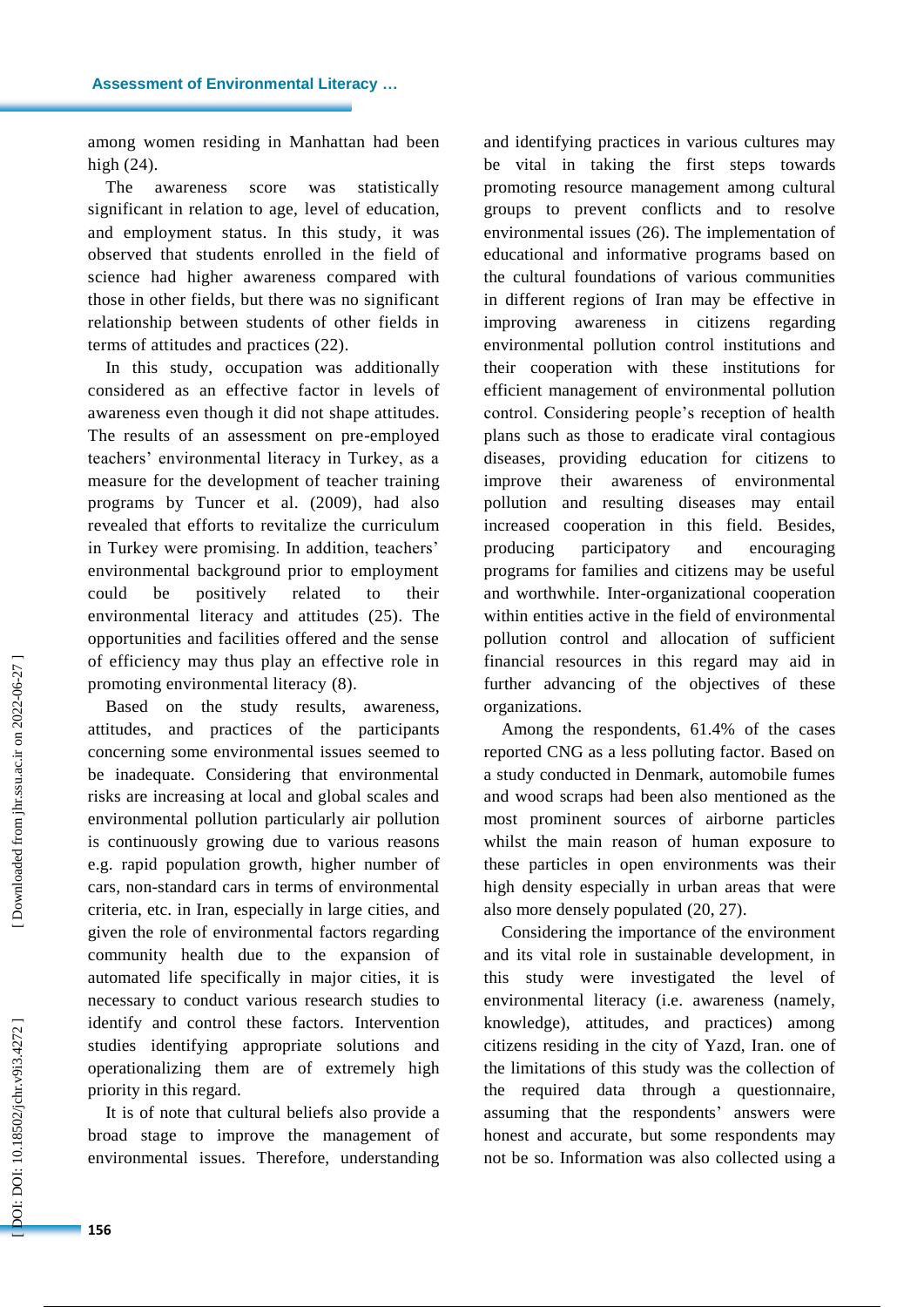among women residing in Manhattan had been high (24).

The awareness score was statistically significant in relation to age, level of education , and employment status. In this study , it was observed that students enrolled in the field of science had higher awareness compared with those in other fields , but there was no significant relationship between students of other fields in terms of attitude s and practice s (22).

In this study, occupation was additionally considered as an effective factor in levels of awareness even though it did not shape attitudes. The results of an assessment on pre -employed teachers' environmental literacy in Turkey, as a measure for the development of teacher training programs by Tuncer et al. (2009), had also revealed that efforts to revitalize the curriculum in Turkey were promising. In addition, teachers' environmental background prior to employment could be positively related to their environmental literacy and attitude s (25). The opportunities and facilities offered and the sense of efficiency may thus play an effective role in promoting environmental literacy (8) .

Based on the study results, awareness, attitudes, and practice s of the participants concerning some environmental issues seemed to be inadequate. Considering that environmental risks are increasing at local and global scales and environmental pollution particularly air pollution is continuously growing due to various reasons e.g. rapid population growth, higher number of cars, non -standard cars in terms of environmental criteria, etc. in Iran, especially in large cities, and given the role of environmental factors regarding communit y health due to the expansion of automated life specifically in major cities, it is necessary to conduct various research studies to identify and control these factors. Intervention studies identifying appropriate solutions and operationalizing them are of extremely high priority in this regard.

It is of note that cultural beliefs also provide a broad stage to improve the management of environmental issues. Therefore, understanding

and identifying practice s in various cultures may be vital in taking the first step s towards promoting resource management among cultural groups to prevent conflicts and to resolve environmental issues (26). The implementation of educational and informative programs based on the cultural foundations of various communities in different regions of Iran may be effective in improving awareness in citizens regarding environmental pollution control institutions and their cooperation with these institutions for efficient management of environmental pollution control. Considering people's reception of health plans such as those to eradicate viral contagious diseases, providing education for citizens to improve their awareness of environmental pollution and resulting diseases may entail increased cooperation in this field. Besides, producing participatory and encouraging programs for families and citizens may be useful and worthwhile. Inter -organizational cooperation within entities active in the field of environmental pollution control and allocation of sufficient financial resources in this regard may aid in further advancing of the objectives of these organizations.

Among the respondents, 61.4% of the cases reported CNG as a less polluting factor. Based on a study conducted in Denmark, automobile fumes and wood scraps had been also mentioned as the most prominent sources of airborne particles whilst the main reason of human exposure to these particles in open environments was their high density especially in urban areas that were also more densely populated (20, 27) .

Considering the importance of the environment and its vital role in sustainable development, in this study were investigated the level of environmental literacy (i.e. awareness (namely, knowledge), attitudes, and practices) among citizens residing in the city of Yazd, Iran. one of the limitations of this study was the collection of the required data through a questionnaire , assuming that the respondents ' answers were honest and accurate, but some respondents may not be so. Information was also collected using a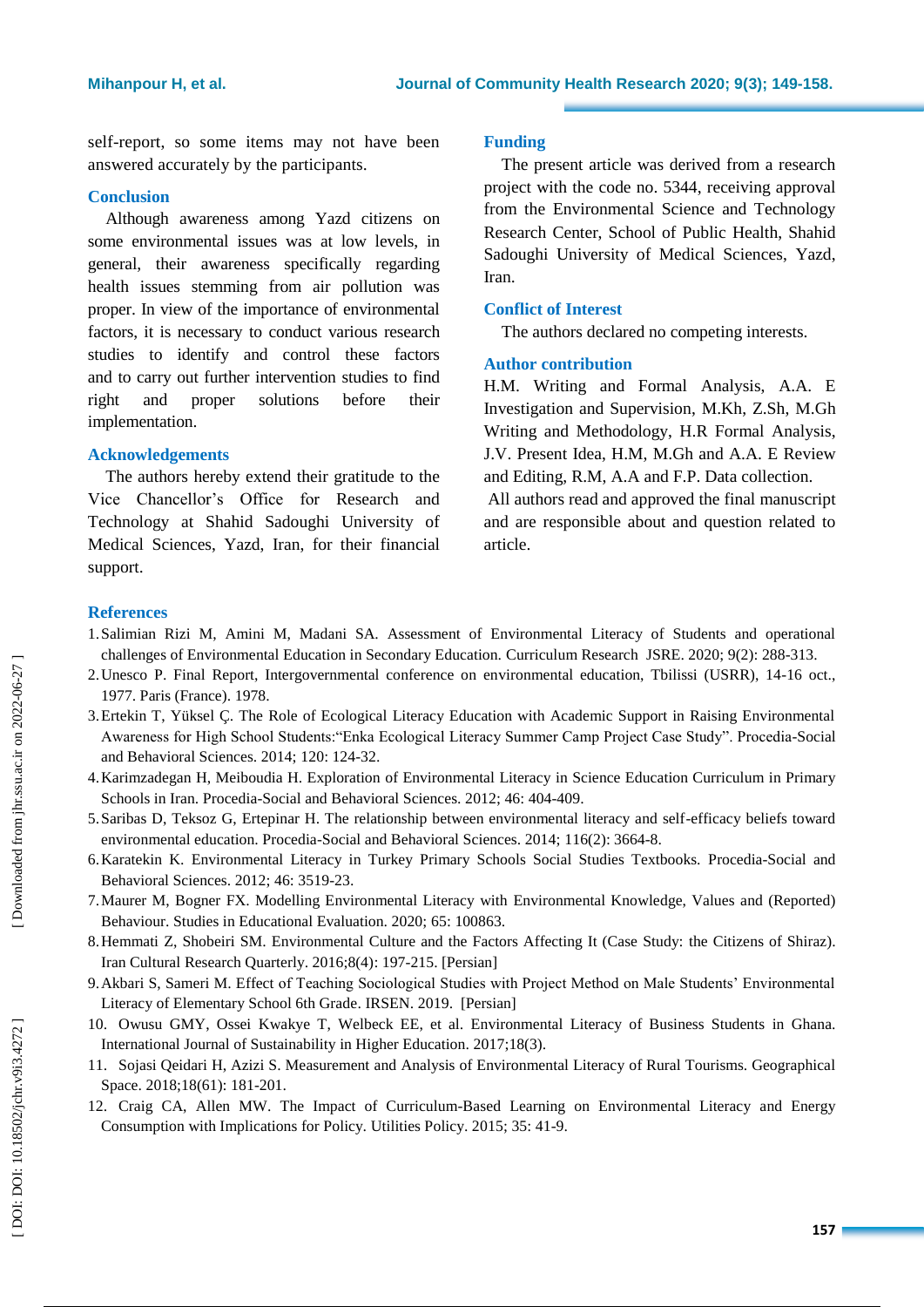self -report, so some items may not have been answered accurately by the participants.

# **Conclusion**

Although awareness among Yazd citizens on some environmental issues was at low levels, in general, their awareness specifically regarding health issues stemming from air pollution was proper. In view of the importance of environmental factors, it is necessary to conduct various research studies to identify and control these factors and to carry out further intervention studies to find right and proper solutions before their implementation.

#### **Acknowledgement s**

The authors hereby extend their gratitude to the Vice Chancellor's Office for Research and Technology at Shahid Sadoughi University of Medical Sciences, Yazd, Iran, for their financial support.

### **Funding**

The present article was derived from a research project with the code no. 5344 , receiving approval from the Environmental Science and Technology Research Center, School of Public Health, Shahid Sadoughi University of Medical Sciences , Yazd, Iran .

### **Conflict of Interest**

The authors declared no competing interests.

# **Author contribution**

H.M. Writing and Formal Analysis, A.A. E Investigation and Supervision, M.Kh, Z.Sh, M.Gh Writing and Methodolog y , H.R Formal Analysis, J. V. Present Idea, H.M, M.Gh and A.A. E Review and Editing, R.M, A.A and F.P. Data collection.

All authors read and approved the final manuscript and are responsible about and question related to article.

### **References**

- 1.Salimian Rizi M, Amini M, Madani SA. Assessment of Environmental Literacy of Students and operational challenges of Environmental Education in Secondary Education. Curriculum Research JSRE. 2020; 9(2): 288 -313.
- 2.Unesco P. Final Report, Intergovernmental conference on environmental education, Tbilissi (USRR), 14 -16 oct., 1977. Paris (France). 1978.
- 3.Ertekin T, Yüksel Ç. The Role of Ecological Literacy Education with Academic Support in Raising Environmental Awareness for High School Students:"Enka Ecological Literacy Summer Camp Project Case Study". Procedia -Social and Behavioral Sciences. 2014; 120: 124 -32.
- 4.Karimzadegan H, Meiboudia H. Exploration of Environmental Literacy in Science Education Curriculum in Primary Schools in Iran. Procedia-Social and Behavioral Sciences. 2012; 46: 404-409.
- 5.Saribas D, Teksoz G, Ertepinar H. The relationship between environmental literacy and self -efficacy beliefs toward environmental education. Procedia-Social and Behavioral Sciences. 2014; 116(2): 3664-8.
- 6.Karatekin K. Environmental Literacy in Turkey Primary Schools Social Studies Textbooks. Procedia -Social and Behavioral Sciences. 2012; 46: 3519 -23.
- 7.Maurer M, Bogner FX. Modelling Environmental Literacy with Environmental Knowledge, Values and (Reported) Behaviour. Studies in Educational Evaluation. 2020; 65: 100863.
- 8. Hemmati Z, Shobeiri SM. Environmental Culture and the Factors Affecting It (Case Study: the Citizens of Shiraz). Iran Cultural Research Quarterly. 2016;8(4): 197 -215. [Persian]
- 9.Akbari S, Sameri M. Effect of Teaching Sociological Studies with Project Method on Male Students' Environmental Literacy of Elementary School 6th Grade. IRSEN. 2019. [Persian]
- 10. Owusu GMY, Ossei Kwakye T, Welbeck EE, et al. Environmental Literacy of Business Students in Ghana. International Journal of Sustainability in Higher Education. 2017;18(3).
- 11. Sojasi Qeidari H, Azizi S. Measurement and Analysis of Environmental Literacy of Rural Tourisms. Geographical Space. 2018;18(61): 181 -201.
- 12. Craig CA, Allen MW. The Impact of Curriculum-Based Learning on Environmental Literacy and Energy Consumption with Implications for Policy. Utilities Policy. 2015; 35: 41 -9.